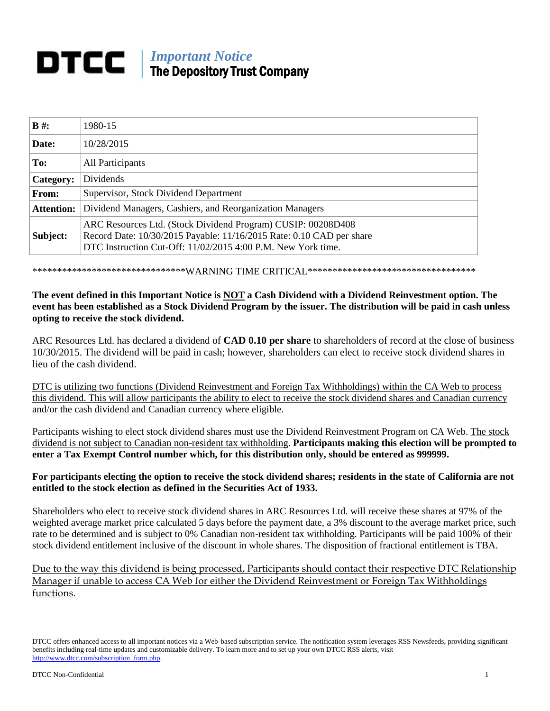## *Important Notice* The Depository Trust Company

| $B \#$ :          | 1980-15                                                                                                                                                                                              |
|-------------------|------------------------------------------------------------------------------------------------------------------------------------------------------------------------------------------------------|
| Date:             | 10/28/2015                                                                                                                                                                                           |
| To:               | All Participants                                                                                                                                                                                     |
| Category:         | Dividends                                                                                                                                                                                            |
| From:             | Supervisor, Stock Dividend Department                                                                                                                                                                |
| <b>Attention:</b> | Dividend Managers, Cashiers, and Reorganization Managers                                                                                                                                             |
| Subject:          | ARC Resources Ltd. (Stock Dividend Program) CUSIP: 00208D408<br>Record Date: 10/30/2015 Payable: 11/16/2015 Rate: 0.10 CAD per share<br>DTC Instruction Cut-Off: 11/02/2015 4:00 P.M. New York time. |

\*\*\*\*\*\*\*\*\*\*\*\*\*\*\*\*\*\*\*\*\*\*\*\*\*\*\*\*\*\*\*WARNING TIME CRITICAL\*\*\*\*\*\*\*\*\*\*\*\*\*\*\*\*\*\*\*\*\*\*\*\*\*\*\*\*\*\*\*\*\*\*

## **The event defined in this Important Notice is NOT a Cash Dividend with a Dividend Reinvestment option. The event has been established as a Stock Dividend Program by the issuer. The distribution will be paid in cash unless opting to receive the stock dividend.**

ARC Resources Ltd. has declared a dividend of **CAD 0.10 per share** to shareholders of record at the close of business 10/30/2015. The dividend will be paid in cash; however, shareholders can elect to receive stock dividend shares in lieu of the cash dividend.

DTC is utilizing two functions (Dividend Reinvestment and Foreign Tax Withholdings) within the CA Web to process this dividend. This will allow participants the ability to elect to receive the stock dividend shares and Canadian currency and/or the cash dividend and Canadian currency where eligible.

Participants wishing to elect stock dividend shares must use the Dividend Reinvestment Program on CA Web. The stock dividend is not subject to Canadian non-resident tax withholding. **Participants making this election will be prompted to enter a Tax Exempt Control number which, for this distribution only, should be entered as 999999.**

## **For participants electing the option to receive the stock dividend shares; residents in the state of California are not entitled to the stock election as defined in the Securities Act of 1933.**

Shareholders who elect to receive stock dividend shares in ARC Resources Ltd. will receive these shares at 97% of the weighted average market price calculated 5 days before the payment date, a 3% discount to the average market price, such rate to be determined and is subject to 0% Canadian non-resident tax withholding. Participants will be paid 100% of their stock dividend entitlement inclusive of the discount in whole shares. The disposition of fractional entitlement is TBA.

Due to the way this dividend is being processed, Participants should contact their respective DTC Relationship Manager if unable to access CA Web for either the Dividend Reinvestment or Foreign Tax Withholdings functions.

DTCC offers enhanced access to all important notices via a Web-based subscription service. The notification system leverages RSS Newsfeeds, providing significant benefits including real-time updates and customizable delivery. To learn more and to set up your own DTCC RSS alerts, visit [http://www.dtcc.com/subscription\\_form.php.](http://www.dtcc.com/subscription_form.php)